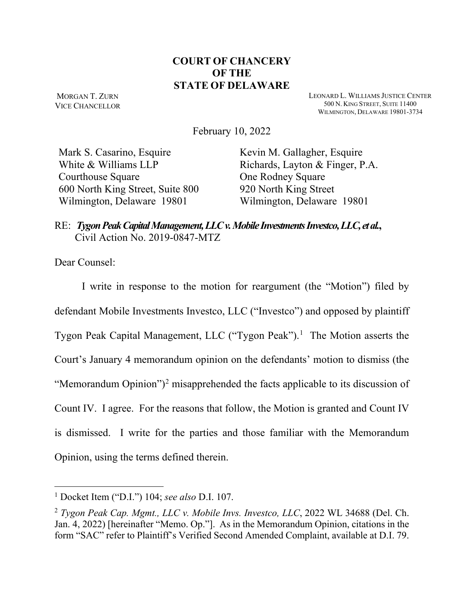## **COURT OF CHANCERY OF THE STATE OF DELAWARE**

MORGAN T. ZURN VICE CHANCELLOR LEONARD L. WILLIAMS JUSTICE CENTER 500 N. KING STREET, SUITE 11400 WILMINGTON, DELAWARE 19801-3734

February 10, 2022

Mark S. Casarino, Esquire White & Williams LLP Courthouse Square 600 North King Street, Suite 800 Wilmington, Delaware 19801

Kevin M. Gallagher, Esquire Richards, Layton & Finger, P.A. One Rodney Square 920 North King Street Wilmington, Delaware 19801

RE: *Tygon Peak Capital Management, LLC v. Mobile Investments Investco, LLC, et al.***,** Civil Action No. 2019-0847-MTZ

Dear Counsel:

I write in response to the motion for reargument (the "Motion") filed by defendant Mobile Investments Investco, LLC ("Investco") and opposed by plaintiff Tygon Peak Capital Management, LLC ("Tygon Peak").<sup>[1](#page-0-0)</sup> The Motion asserts the Court's January 4 memorandum opinion on the defendants' motion to dismiss (the "Memorandum Opinion")<sup>[2](#page-0-1)</sup> misapprehended the facts applicable to its discussion of Count IV. I agree. For the reasons that follow, the Motion is granted and Count IV is dismissed. I write for the parties and those familiar with the Memorandum Opinion, using the terms defined therein.

<span id="page-0-0"></span><sup>1</sup> Docket Item ("D.I.") 104; *see also* D.I. 107.

<span id="page-0-1"></span><sup>2</sup> *Tygon Peak Cap. Mgmt., LLC v. Mobile Invs. Investco, LLC*, 2022 WL 34688 (Del. Ch. Jan. 4, 2022) [hereinafter "Memo. Op."]. As in the Memorandum Opinion, citations in the form "SAC" refer to Plaintiff's Verified Second Amended Complaint, available at D.I. 79.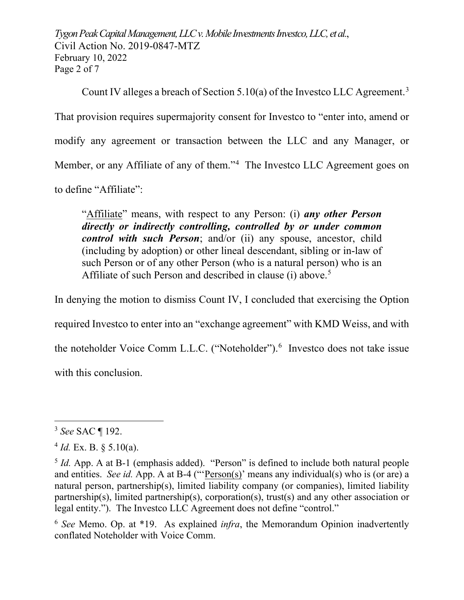*Tygon Peak Capital Management, LLC v. Mobile Investments Investco, LLC, et al.*, Civil Action No. 2019-0847-MTZ February 10, 2022 Page 2 of 7

Count IV alleges a breach of Section 5.10(a) of the Investco LLC Agreement.<sup>[3](#page-1-0)</sup> That provision requires supermajority consent for Investco to "enter into, amend or modify any agreement or transaction between the LLC and any Manager, or Member, or any Affiliate of any of them."<sup>[4](#page-1-1)</sup> The Investco LLC Agreement goes on to define "Affiliate":

"Affiliate" means, with respect to any Person: (i) *any other Person directly or indirectly controlling, controlled by or under common control with such Person*; and/or (ii) any spouse, ancestor, child (including by adoption) or other lineal descendant, sibling or in-law of such Person or of any other Person (who is a natural person) who is an Affiliate of such Person and described in clause (i) above.<sup>[5](#page-1-2)</sup>

In denying the motion to dismiss Count IV, I concluded that exercising the Option required Investco to enter into an "exchange agreement" with KMD Weiss, and with the noteholder Voice Comm L.L.C. ("Noteholder").<sup>[6](#page-1-3)</sup> Investco does not take issue with this conclusion.

<span id="page-1-3"></span><sup>6</sup> *See* Memo. Op. at \*19. As explained *infra*, the Memorandum Opinion inadvertently conflated Noteholder with Voice Comm.

<span id="page-1-0"></span><sup>3</sup> *See* SAC ¶ 192.

<span id="page-1-1"></span> $4$  *Id.* Ex. B. § 5.10(a).

<span id="page-1-2"></span><sup>&</sup>lt;sup>5</sup> *Id.* App. A at B-1 (emphasis added). "Person" is defined to include both natural people and entities. *See id.* App. A at B-4 ("'Person(s)' means any individual(s) who is (or are) a natural person, partnership(s), limited liability company (or companies), limited liability partnership(s), limited partnership(s), corporation(s), trust(s) and any other association or legal entity."). The Investco LLC Agreement does not define "control."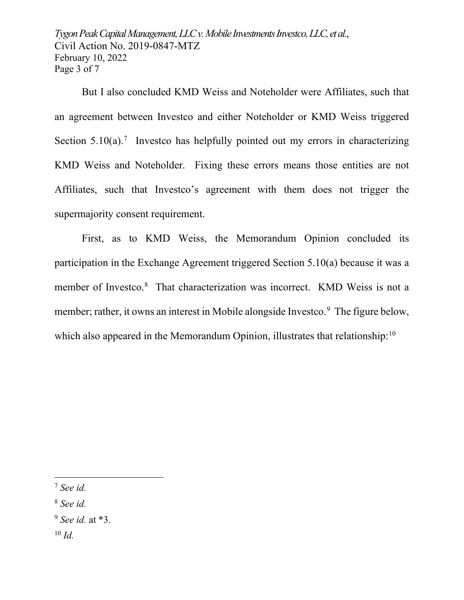*Tygon Peak Capital Management, LLC v. Mobile Investments Investco, LLC, et al.*, Civil Action No. 2019-0847-MTZ February 10, 2022 Page 3 of 7

But I also concluded KMD Weiss and Noteholder were Affiliates, such that an agreement between Investco and either Noteholder or KMD Weiss triggered Section  $5.10(a)$ .<sup>[7](#page-2-0)</sup> Investco has helpfully pointed out my errors in characterizing KMD Weiss and Noteholder. Fixing these errors means those entities are not Affiliates, such that Investco's agreement with them does not trigger the supermajority consent requirement.

First, as to KMD Weiss, the Memorandum Opinion concluded its participation in the Exchange Agreement triggered Section 5.10(a) because it was a member of Investco. [8](#page-2-1) That characterization was incorrect. KMD Weiss is not a member; rather, it owns an interest in Mobile alongside Investco.<sup>[9](#page-2-2)</sup> The figure below, which also appeared in the Memorandum Opinion, illustrates that relationship:<sup>[10](#page-2-3)</sup>

<span id="page-2-1"></span><sup>8</sup> *See id.*

<span id="page-2-3"></span><sup>10</sup> *Id.*

<span id="page-2-0"></span><sup>7</sup> *See id.*

<span id="page-2-2"></span><sup>9</sup> *See id.* at \*3.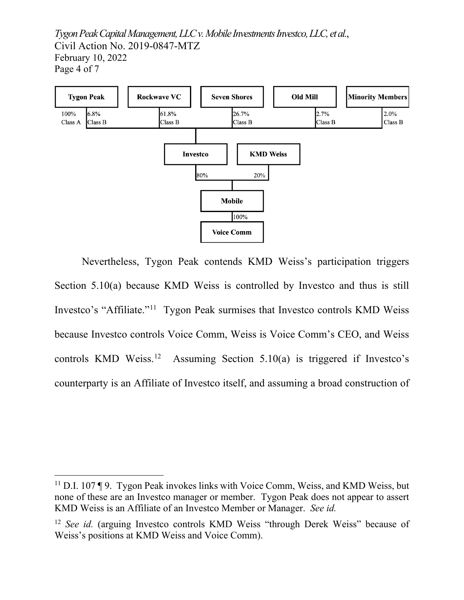*Tygon Peak Capital Management, LLC v. Mobile Investments Investco, LLC, et al.*, Civil Action No. 2019-0847-MTZ February 10, 2022 Page 4 of 7



Nevertheless, Tygon Peak contends KMD Weiss's participation triggers Section 5.10(a) because KMD Weiss is controlled by Investco and thus is still Investco's "Affiliate."[11](#page-3-0) Tygon Peak surmises that Investco controls KMD Weiss because Investco controls Voice Comm, Weiss is Voice Comm's CEO, and Weiss controls KMD Weiss.<sup>12</sup> Assuming Section 5.10(a) is triggered if Investco's counterparty is an Affiliate of Investco itself, and assuming a broad construction of

<span id="page-3-0"></span><sup>11</sup> D.I. 107 ¶ 9. Tygon Peak invokes links with Voice Comm, Weiss, and KMD Weiss, but none of these are an Investco manager or member. Tygon Peak does not appear to assert KMD Weiss is an Affiliate of an Investco Member or Manager. *See id.*

<span id="page-3-1"></span><sup>12</sup> *See id.* (arguing Investco controls KMD Weiss "through Derek Weiss" because of Weiss's positions at KMD Weiss and Voice Comm).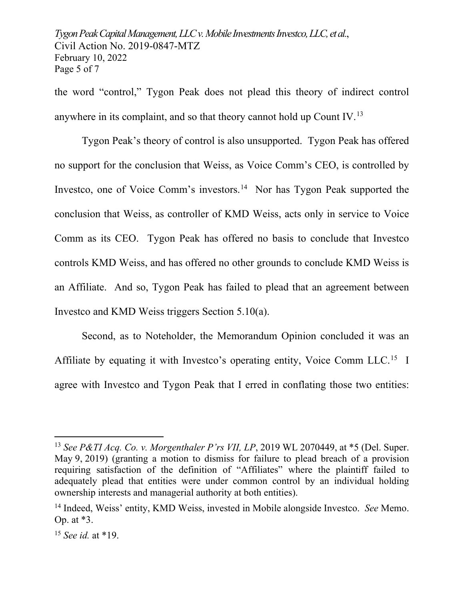*Tygon Peak Capital Management, LLC v. Mobile Investments Investco, LLC, et al.*, Civil Action No. 2019-0847-MTZ February 10, 2022 Page 5 of 7

the word "control," Tygon Peak does not plead this theory of indirect control anywhere in its complaint, and so that theory cannot hold up Count IV.[13](#page-4-0)

Tygon Peak's theory of control is also unsupported. Tygon Peak has offered no support for the conclusion that Weiss, as Voice Comm's CEO, is controlled by Investco, one of Voice Comm's investors.<sup>[14](#page-4-1)</sup> Nor has Tygon Peak supported the conclusion that Weiss, as controller of KMD Weiss, acts only in service to Voice Comm as its CEO. Tygon Peak has offered no basis to conclude that Investco controls KMD Weiss, and has offered no other grounds to conclude KMD Weiss is an Affiliate. And so, Tygon Peak has failed to plead that an agreement between Investco and KMD Weiss triggers Section 5.10(a).

Second, as to Noteholder, the Memorandum Opinion concluded it was an Affiliate by equating it with Investco's operating entity, Voice Comm LLC.<sup>15</sup> I agree with Investco and Tygon Peak that I erred in conflating those two entities:

<span id="page-4-0"></span><sup>13</sup> *See P&TI Acq. Co. v. Morgenthaler P'rs VII, LP*, 2019 WL 2070449, at \*5 (Del. Super. May 9, 2019) (granting a motion to dismiss for failure to plead breach of a provision requiring satisfaction of the definition of "Affiliates" where the plaintiff failed to adequately plead that entities were under common control by an individual holding ownership interests and managerial authority at both entities).

<span id="page-4-1"></span><sup>14</sup> Indeed, Weiss' entity, KMD Weiss, invested in Mobile alongside Investco. *See* Memo. Op. at \*3.

<span id="page-4-2"></span><sup>15</sup> *See id.* at \*19.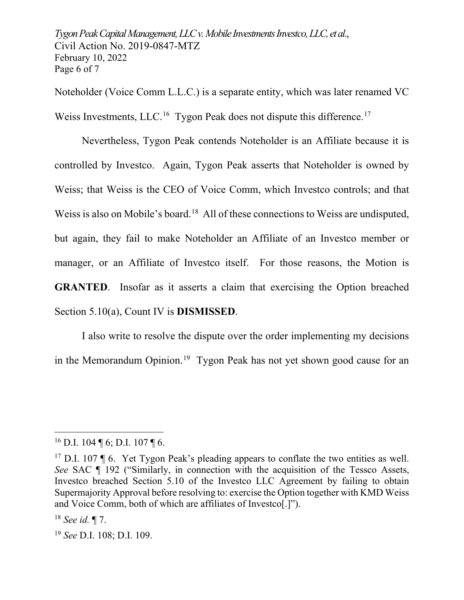*Tygon Peak Capital Management, LLC v. Mobile Investments Investco, LLC, et al.*, Civil Action No. 2019-0847-MTZ February 10, 2022 Page 6 of 7

Noteholder (Voice Comm L.L.C.) is a separate entity, which was later renamed VC Weiss Investments, LLC.<sup>[16](#page-5-0)</sup> Tygon Peak does not dispute this difference.<sup>[17](#page-5-1)</sup>

Nevertheless, Tygon Peak contends Noteholder is an Affiliate because it is controlled by Investco. Again, Tygon Peak asserts that Noteholder is owned by Weiss; that Weiss is the CEO of Voice Comm, which Investco controls; and that Weiss is also on Mobile's board.<sup>18</sup> All of these connections to Weiss are undisputed, but again, they fail to make Noteholder an Affiliate of an Investco member or manager, or an Affiliate of Investco itself. For those reasons, the Motion is **GRANTED**. Insofar as it asserts a claim that exercising the Option breached Section 5.10(a), Count IV is **DISMISSED**.

I also write to resolve the dispute over the order implementing my decisions in the Memorandum Opinion.<sup>19</sup> Tygon Peak has not yet shown good cause for an

<span id="page-5-0"></span> $16$  D.I. 104 ¶ 6; D.I. 107 ¶ 6.

<span id="page-5-1"></span><sup>&</sup>lt;sup>17</sup> D.I. 107  $\P$  6. Yet Tygon Peak's pleading appears to conflate the two entities as well. *See* SAC ¶ 192 ("Similarly, in connection with the acquisition of the Tessco Assets, Investco breached Section 5.10 of the Investco LLC Agreement by failing to obtain Supermajority Approval before resolving to: exercise the Option together with KMD Weiss and Voice Comm, both of which are affiliates of Investco[.]").

<span id="page-5-2"></span><sup>18</sup> *See id.* ¶ 7.

<span id="page-5-3"></span><sup>19</sup> *See* D.I. 108; D.I. 109.